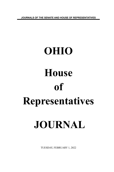**JOURNALS OF THE SENATE AND HOUSE OF REPRESENTATIVES**

# **OHIO House of Representatives JOURNAL**

TUESDAY, FEBRUARY 1, 2022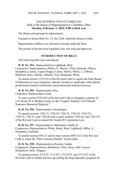# ONE HUNDRED TWENTY-THIRD DAY Hall of the House of Representatives, Columbus, Ohio **Tuesday, February 1, 2022, 9:00 o'clock a.m.**

The House met pursuant to adjournment.

Pursuant to House Rule No. 23, the Clerk called the House to order.

Representative Hillyer was selected to preside under the Rule.

The journal of the previous legislative day was read and approved.

## **INTRODUCTION OF BILLS**

The following bills were introduced:

**H. B. No. 554 -** Representatives Lightbody, Bird. Cosponsors: Representatives Miller, A., Brown, Click, Galonski, Hillyer, Humphrey, Lanese, Lepore-Hagan, Liston, Merrin, Miller, J., O'Brien, Robinson, Seitz, Sheehy, Sobecki, Troy, Weinstein, White.

To amend section 3319.222 of the Revised Code to require the State Board of Education to issue temporary educator licenses to applicants with expired professional teacher's certificates and professional educator licenses.

**H. B. No. 555 -** Representative Ray. Cosponsor: Representative Kick.

To enact section 5534.434 of the Revised Code to designate a portion of U.S. Route 42 in Medina County as the "Captain 'Smokey' Carl Edward Summers Memorial Highway."

**H. B. No. 556 -** Representative Swearingen.

To amend sections 1702.27, 1702.30, 1702.33, 1702.38, 1702.521, 1702.53, 1702.55, and 1745.05 and to enact sections 1702.341 and 1702.531 of the Revised Code to amend the Nonprofit Corporation Law.

**H. B. No. 557 -** Representatives Blackshear, Smith, K. Cosponsors: Representatives White, Brent, West, Lightbody, Miller, A., Humphrey, Galonski.

To amend section 4501.21 and to enact section 4503.532 of the Revised Code to create the "Paul Laurence Dunbar" license plate.

**H. B. No. 558 -** Representatives Roemer, Jordan. Cosponsors: Representatives Brinkman, Click, Gross, Hall, Lanese, Richardson, Seitz, Wiggam.

To amend sections 3715.87, 3715.871, 3715.872, and 3715.873 of the Revised Code to modify the laws governing the drug repository program for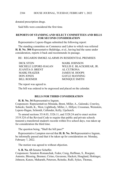donated prescription drugs.

Said bills were considered the first time.

## **REPORTS OF STANDING AND SELECT COMMITTEES AND BILLS FOR SECOND CONSIDERATION**

Representative Lepore-Hagan submitted the following report:

The standing committee on Commerce and Labor to which was referred **H. B. No. 304**-Representative Baldridge, et al., having had the same under consideration, reports it back and recommends its passage.

RE: REGARDS SMOKE ALARMS IN RESIDENTIAL PREMISES

DICK STEIN MARK JOHNSON JUANITA O. BRENT AL CUTRONA MARK FRAIZER JAMES M. HOOPS DON JONES GAYLE MANNING BILL ROEMER MONIQUE SMITH

MICHELE LEPORE-HAGAN WILLIS E. BLACKSHEAR, JR.

The report was agreed to.

The bill was ordered to be engrossed and placed on the calendar.

## **BILLS FOR THIRD CONSIDERATION**

**H. B. No. 34**-Representative Ingram.

Cosponsors: Representatives Miranda, Brent, Miller, A., Galonski, Crawley, Sobecki, Smith, K., West, Lightbody, Miller, J., Hillyer, Crossman, Weinstein, Lepore-Hagan, Schmidt, Callender, Kelly, Upchurch.

To amend sections 3314.03, 3326.11, and 3328.24 and to enact section 3319.324 of the Revised Code to require that public and private schools transmit a transferred student's records within five school days, was taken up for consideration the third time.

The question being, "Shall the bill pass?"

Representative Lampton moved that **H. B. No. 34**-Representative Ingram, be informally passed and that it be taken up for consideration on: Monday, February 7, 2022.

The motion was agreed to without objection.

**S. B. No. 43**-Senator Schaffer.

Cosponsors: Senators Romanchuk, Fedor, Craig, Huffman, S., Roegner, Antonio, Blessing, Brenner, Cirino, Gavarone, Hackett, Hoagland, Hottinger, Johnson, Kunze, Maharath, Peterson, Reineke, Rulli, Sykes, Thomas,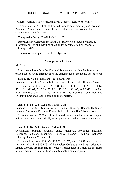Williams, Wilson, Yuko Representatives Lepore-Hagan, West, White.

To enact section 5.271 of the Revised Code to designate July as "Sarcoma Awareness Month" and to name the act Hank's Law, was taken up for consideration the third time.

The question being, "Shall the bill pass?"

Representative Lampton moved that **S. B. No. 43**-Senator Schaffer, be informally passed and that it be taken up for consideration on: Monday, February 7, 2022.

The motion was agreed to without objection.

#### Message from the Senate

Mr. Speaker:

I am directed to inform the House of Representatives that the Senate has passed the following bills in which the concurrence of the House is requested:

**Sub. S. B. No. 61** - Senators Blessing, Antonio

Cosponsors: Senators Maharath, Cirino, Craig, Fedor, Rulli, Thomas, Yuko

To amend sections 5311.05, 5311.08, 5311.081, 5311.091, 5311.16, 5311.18, 5312.02, 5312.03, 5312.05, 5312.06, 5312.07, and 5312.11 and to enact sections 5311.192 and 5312.16 of the Revised Code regarding condominiums and planned community properties.

#### **Am. S. B. No. 236** - Senators Wilson, Lang

Cosponsors: Senators Reineke, Cirino, Brenner, Blessing, Hackett, Hottinger, Johnson, McColley, Peterson, Romanchuk, Rulli, Schaffer, Thomas, Yuko

To amend section 3901.41 of the Revised Code to enable insurers using an online platform to automatically enroll purchasers in digital communications.

#### **Am. S. B. No. 241** - Senators Cirino, Rulli

Cosponsors: Senators Hackett, Lang, Maharath, Hottinger, Blessing, Gavarone, Johnson, Manning, McColley, Peterson, Reineke, Schaffer, Schuring, Thomas, Wilson, Yuko

To amend sections 135.143, 135.71, 135.73, and 135.82 and to repeal sections 135.631 and 135.731 of the Revised Code to expand the Agricultural Linked Deposit Program and the types of obligations in which the Treasurer of State may invest interim funds, and to declare an emergency.